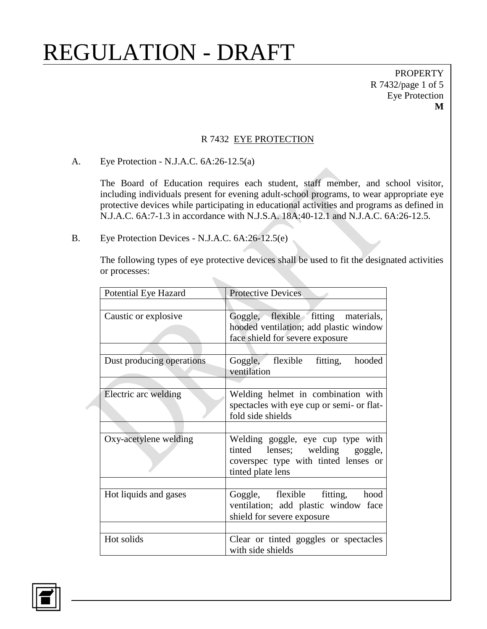**PROPERTY** R 7432/page 1 of 5 Eye Protection **M**

#### R 7432 EYE PROTECTION

A. Eye Protection - N.J.A.C. 6A:26-12.5(a)

The Board of Education requires each student, staff member, and school visitor, including individuals present for evening adult-school programs, to wear appropriate eye protective devices while participating in educational activities and programs as defined in N.J.A.C. 6A:7-1.3 in accordance with N.J.S.A. 18A:40-12.1 and N.J.A.C. 6A:26-12.5.

B. Eye Protection Devices - N.J.A.C. 6A:26-12.5(e)

The following types of eye protective devices shall be used to fit the designated activities or processes:

| <b>Potential Eye Hazard</b> | <b>Protective Devices</b>                                                                                                        |
|-----------------------------|----------------------------------------------------------------------------------------------------------------------------------|
|                             |                                                                                                                                  |
| Caustic or explosive        | Goggle, flexible fitting materials,<br>hooded ventilation; add plastic window<br>face shield for severe exposure                 |
|                             |                                                                                                                                  |
| Dust producing operations   | Goggle, flexible fitting, hooded<br>ventilation                                                                                  |
|                             |                                                                                                                                  |
| Electric arc welding        | Welding helmet in combination with<br>spectacles with eye cup or semi- or flat-<br>fold side shields                             |
|                             |                                                                                                                                  |
| Oxy-acetylene welding       | Welding goggle, eye cup type with<br>tinted lenses; welding goggle,<br>coverspec type with tinted lenses or<br>tinted plate lens |
|                             |                                                                                                                                  |
| Hot liquids and gases       | Goggle, flexible fitting, hood<br>ventilation; add plastic window face<br>shield for severe exposure                             |
|                             |                                                                                                                                  |
| Hot solids                  | Clear or tinted goggles or spectacles<br>with side shields                                                                       |

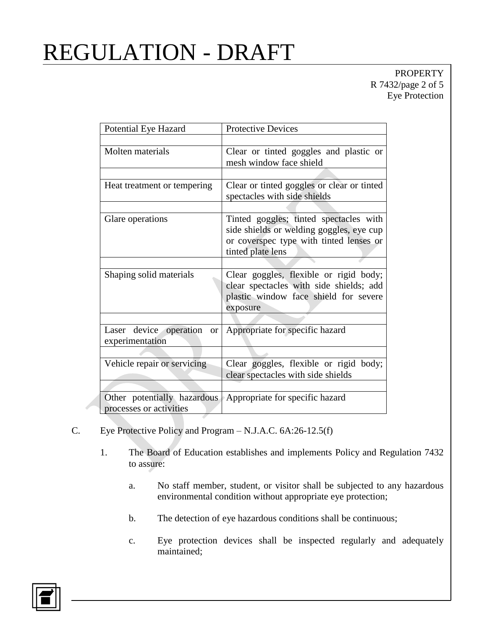### PROPERTY R 7432/page 2 of 5 Eye Protection

| Potential Eye Hazard                                       | <b>Protective Devices</b>                                                                                                                          |
|------------------------------------------------------------|----------------------------------------------------------------------------------------------------------------------------------------------------|
|                                                            |                                                                                                                                                    |
| Molten materials                                           | Clear or tinted goggles and plastic or<br>mesh window face shield                                                                                  |
|                                                            |                                                                                                                                                    |
| Heat treatment or tempering                                | Clear or tinted goggles or clear or tinted<br>spectacles with side shields                                                                         |
|                                                            |                                                                                                                                                    |
| Glare operations                                           | Tinted goggles; tinted spectacles with<br>side shields or welding goggles, eye cup<br>or coverspec type with tinted lenses or<br>tinted plate lens |
|                                                            |                                                                                                                                                    |
| Shaping solid materials                                    | Clear goggles, flexible or rigid body;<br>clear spectacles with side shields; add<br>plastic window face shield for severe<br>exposure             |
|                                                            |                                                                                                                                                    |
| Laser device operation<br><sub>or</sub><br>experimentation | Appropriate for specific hazard                                                                                                                    |
|                                                            |                                                                                                                                                    |
| Vehicle repair or servicing                                | Clear goggles, flexible or rigid body;<br>clear spectacles with side shields                                                                       |
|                                                            |                                                                                                                                                    |
| processes or activities                                    | Other potentially hazardous Appropriate for specific hazard                                                                                        |

- C. Eye Protective Policy and Program N.J.A.C. 6A:26-12.5(f)
	- 1. The Board of Education establishes and implements Policy and Regulation 7432 to assure:
		- a. No staff member, student, or visitor shall be subjected to any hazardous environmental condition without appropriate eye protection;
		- b. The detection of eye hazardous conditions shall be continuous;
		- c. Eye protection devices shall be inspected regularly and adequately maintained;

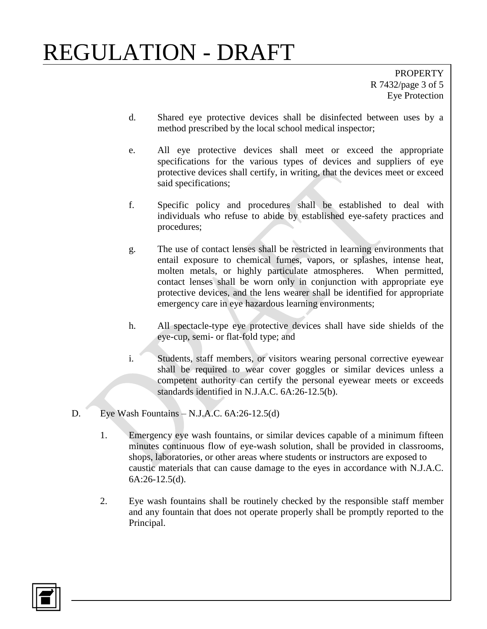PROPERTY R 7432/page 3 of 5 Eye Protection

- d. Shared eye protective devices shall be disinfected between uses by a method prescribed by the local school medical inspector;
- e. All eye protective devices shall meet or exceed the appropriate specifications for the various types of devices and suppliers of eye protective devices shall certify, in writing, that the devices meet or exceed said specifications;
- f. Specific policy and procedures shall be established to deal with individuals who refuse to abide by established eye-safety practices and procedures;
- g. The use of contact lenses shall be restricted in learning environments that entail exposure to chemical fumes, vapors, or splashes, intense heat, molten metals, or highly particulate atmospheres. When permitted, contact lenses shall be worn only in conjunction with appropriate eye protective devices, and the lens wearer shall be identified for appropriate emergency care in eye hazardous learning environments;
- h. All spectacle-type eye protective devices shall have side shields of the eye-cup, semi- or flat-fold type; and
- i. Students, staff members, or visitors wearing personal corrective eyewear shall be required to wear cover goggles or similar devices unless a competent authority can certify the personal eyewear meets or exceeds standards identified in N.J.A.C. 6A:26-12.5(b).
- D. Eye Wash Fountains N.J.A.C. 6A:26-12.5(d)
	- 1. Emergency eye wash fountains, or similar devices capable of a minimum fifteen minutes continuous flow of eye-wash solution, shall be provided in classrooms, shops, laboratories, or other areas where students or instructors are exposed to caustic materials that can cause damage to the eyes in accordance with N.J.A.C. 6A:26-12.5(d).
	- 2. Eye wash fountains shall be routinely checked by the responsible staff member and any fountain that does not operate properly shall be promptly reported to the Principal.

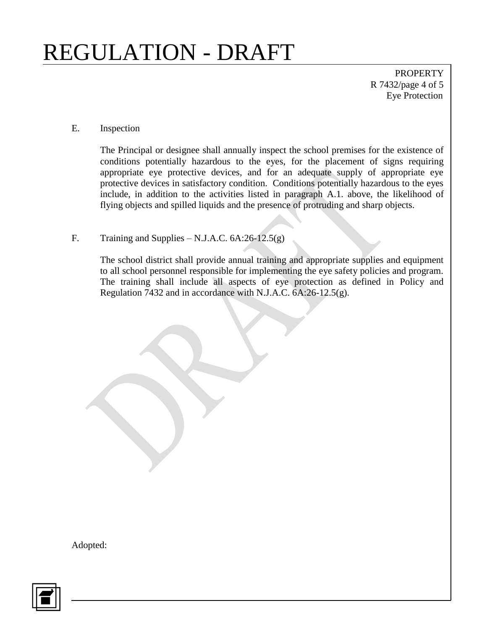PROPERTY R 7432/page 4 of 5 Eye Protection

#### E. Inspection

The Principal or designee shall annually inspect the school premises for the existence of conditions potentially hazardous to the eyes, for the placement of signs requiring appropriate eye protective devices, and for an adequate supply of appropriate eye protective devices in satisfactory condition. Conditions potentially hazardous to the eyes include, in addition to the activities listed in paragraph A.1. above, the likelihood of flying objects and spilled liquids and the presence of protruding and sharp objects.

#### F. Training and Supplies – N.J.A.C.  $6A:26-12.5(g)$

The school district shall provide annual training and appropriate supplies and equipment to all school personnel responsible for implementing the eye safety policies and program. The training shall include all aspects of eye protection as defined in Policy and Regulation 7432 and in accordance with N.J.A.C. 6A:26-12.5(g).

Adopted:

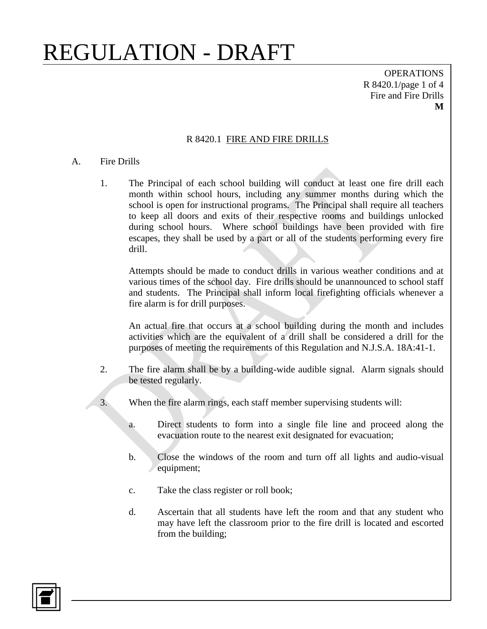OPERATIONS R 8420.1/page 1 of 4 Fire and Fire Drills **M**

#### R 8420.1 FIRE AND FIRE DRILLS

#### A. Fire Drills

1. The Principal of each school building will conduct at least one fire drill each month within school hours, including any summer months during which the school is open for instructional programs. The Principal shall require all teachers to keep all doors and exits of their respective rooms and buildings unlocked during school hours. Where school buildings have been provided with fire escapes, they shall be used by a part or all of the students performing every fire drill.

Attempts should be made to conduct drills in various weather conditions and at various times of the school day. Fire drills should be unannounced to school staff and students. The Principal shall inform local firefighting officials whenever a fire alarm is for drill purposes.

An actual fire that occurs at a school building during the month and includes activities which are the equivalent of a drill shall be considered a drill for the purposes of meeting the requirements of this Regulation and N.J.S.A. 18A:41-1.

- 2. The fire alarm shall be by a building-wide audible signal. Alarm signals should be tested regularly.
- 3. When the fire alarm rings, each staff member supervising students will:
	- a. Direct students to form into a single file line and proceed along the evacuation route to the nearest exit designated for evacuation;
	- b. Close the windows of the room and turn off all lights and audio-visual equipment;
	- c. Take the class register or roll book;
	- d. Ascertain that all students have left the room and that any student who may have left the classroom prior to the fire drill is located and escorted from the building;

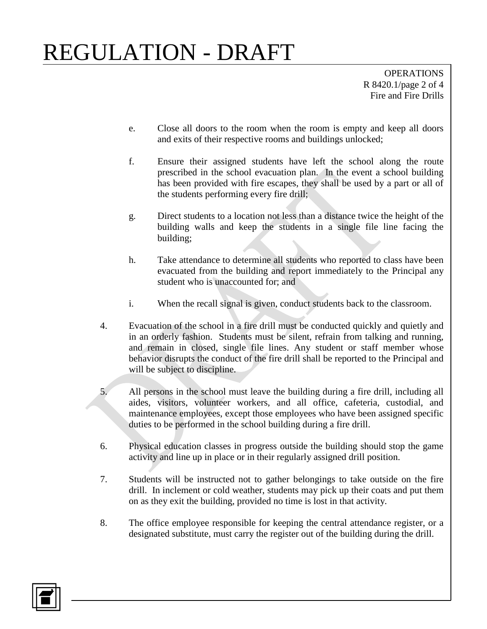OPERATIONS R 8420.1/page 2 of 4 Fire and Fire Drills

- e. Close all doors to the room when the room is empty and keep all doors and exits of their respective rooms and buildings unlocked;
- f. Ensure their assigned students have left the school along the route prescribed in the school evacuation plan. In the event a school building has been provided with fire escapes, they shall be used by a part or all of the students performing every fire drill;
- g. Direct students to a location not less than a distance twice the height of the building walls and keep the students in a single file line facing the building;
- h. Take attendance to determine all students who reported to class have been evacuated from the building and report immediately to the Principal any student who is unaccounted for; and
- i. When the recall signal is given, conduct students back to the classroom.
- 4. Evacuation of the school in a fire drill must be conducted quickly and quietly and in an orderly fashion. Students must be silent, refrain from talking and running, and remain in closed, single file lines. Any student or staff member whose behavior disrupts the conduct of the fire drill shall be reported to the Principal and will be subject to discipline.
- 5. All persons in the school must leave the building during a fire drill, including all aides, visitors, volunteer workers, and all office, cafeteria, custodial, and maintenance employees, except those employees who have been assigned specific duties to be performed in the school building during a fire drill.
- 6. Physical education classes in progress outside the building should stop the game activity and line up in place or in their regularly assigned drill position.
- 7. Students will be instructed not to gather belongings to take outside on the fire drill. In inclement or cold weather, students may pick up their coats and put them on as they exit the building, provided no time is lost in that activity.
- 8. The office employee responsible for keeping the central attendance register, or a designated substitute, must carry the register out of the building during the drill.

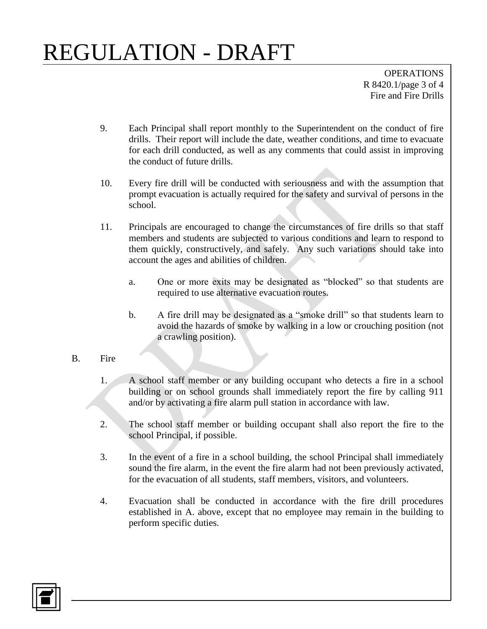OPERATIONS R 8420.1/page 3 of 4 Fire and Fire Drills

- 9. Each Principal shall report monthly to the Superintendent on the conduct of fire drills. Their report will include the date, weather conditions, and time to evacuate for each drill conducted, as well as any comments that could assist in improving the conduct of future drills.
- 10. Every fire drill will be conducted with seriousness and with the assumption that prompt evacuation is actually required for the safety and survival of persons in the school.
- 11. Principals are encouraged to change the circumstances of fire drills so that staff members and students are subjected to various conditions and learn to respond to them quickly, constructively, and safely. Any such variations should take into account the ages and abilities of children.
	- a. One or more exits may be designated as "blocked" so that students are required to use alternative evacuation routes.
	- b. A fire drill may be designated as a "smoke drill" so that students learn to avoid the hazards of smoke by walking in a low or crouching position (not a crawling position).
- B. Fire
	- 1. A school staff member or any building occupant who detects a fire in a school building or on school grounds shall immediately report the fire by calling 911 and/or by activating a fire alarm pull station in accordance with law.
	- 2. The school staff member or building occupant shall also report the fire to the school Principal, if possible.
	- 3. In the event of a fire in a school building, the school Principal shall immediately sound the fire alarm, in the event the fire alarm had not been previously activated, for the evacuation of all students, staff members, visitors, and volunteers.
	- 4. Evacuation shall be conducted in accordance with the fire drill procedures established in A. above, except that no employee may remain in the building to perform specific duties.